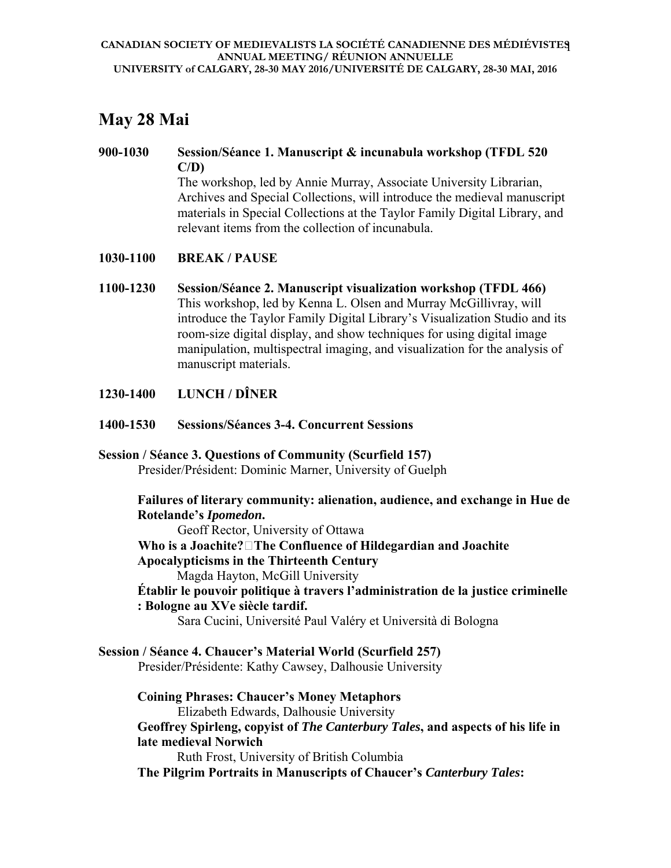# **May 28 Mai**

#### **900-1030 Session/Séance 1. Manuscript & incunabula workshop (TFDL 520 C/D)**  The workshop, led by Annie Murray, Associate University Librarian,

Archives and Special Collections, will introduce the medieval manuscript materials in Special Collections at the Taylor Family Digital Library, and relevant items from the collection of incunabula.

## **1030-1100 BREAK / PAUSE**

- **1100-1230 Session/Séance 2. Manuscript visualization workshop (TFDL 466)**  This workshop, led by Kenna L. Olsen and Murray McGillivray, will introduce the Taylor Family Digital Library's Visualization Studio and its room-size digital display, and show techniques for using digital image manipulation, multispectral imaging, and visualization for the analysis of manuscript materials.
- **1230-1400 LUNCH / DÎNER**
- **1400-1530 Sessions/Séances 3-4. Concurrent Sessions**

#### **Session / Séance 3. Questions of Community (Scurfield 157)**  Presider/Président: Dominic Marner, University of Guelph

**Failures of literary community: alienation, audience, and exchange in Hue de Rotelande's** *Ipomedon***.** 

Geoff Rector, University of Ottawa

**Who is a Joachite?The Confluence of Hildegardian and Joachite Apocalypticisms in the Thirteenth Century** 

Magda Hayton, McGill University

**Établir le pouvoir politique à travers l'administration de la justice criminelle : Bologne au XVe siècle tardif.** 

Sara Cucini, Université Paul Valéry et Università di Bologna

**Session / Séance 4. Chaucer's Material World (Scurfield 257)**  Presider/Présidente: Kathy Cawsey, Dalhousie University

**Coining Phrases: Chaucer's Money Metaphors**  Elizabeth Edwards, Dalhousie University **Geoffrey Spirleng, copyist of** *The Canterbury Tales***, and aspects of his life in late medieval Norwich**  Ruth Frost, University of British Columbia **The Pilgrim Portraits in Manuscripts of Chaucer's** *Canterbury Tales***:**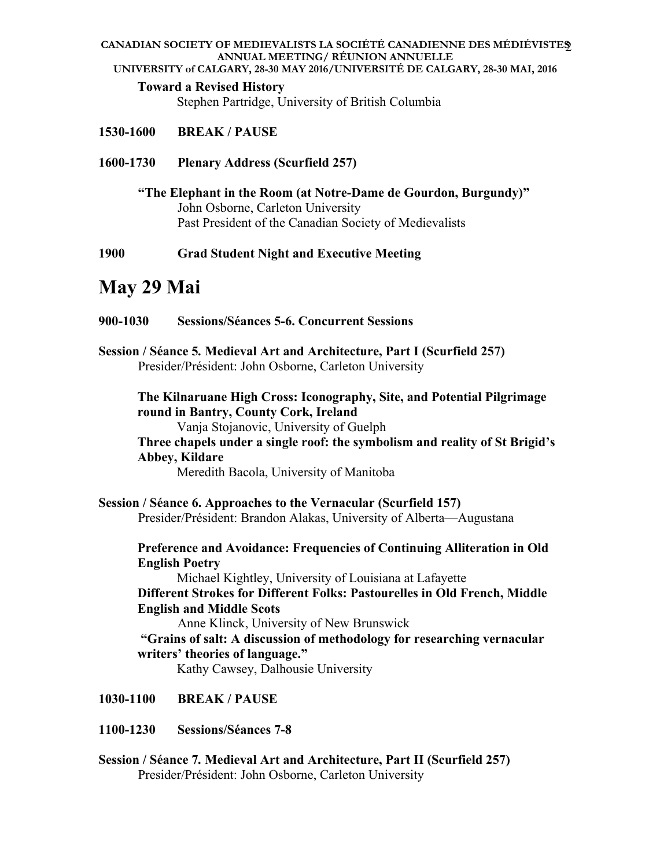#### **CANADIAN SOCIETY OF MEDIEVALISTS LA SOCIÉTÉ CANADIENNE DES MÉDIÉVISTES**  2 **ANNUAL MEETING/ RÉUNION ANNUELLE**

**UNIVERSITY of CALGARY, 28-30 MAY 2016/UNIVERSITÉ DE CALGARY, 28-30 MAI, 2016**

## **Toward a Revised History**

Stephen Partridge, University of British Columbia

- **1530-1600 BREAK / PAUSE**
- **1600-1730 Plenary Address (Scurfield 257)**

**"The Elephant in the Room (at Notre-Dame de Gourdon, Burgundy)"** John Osborne, Carleton University Past President of the Canadian Society of Medievalists

**1900 Grad Student Night and Executive Meeting** 

# **May 29 Mai**

- **900-1030 Sessions/Séances 5-6. Concurrent Sessions**
- **Session / Séance 5***.* **Medieval Art and Architecture, Part I (Scurfield 257)**  Presider/Président: John Osborne, Carleton University

**The Kilnaruane High Cross: Iconography, Site, and Potential Pilgrimage round in Bantry, County Cork, Ireland** 

Vanja Stojanovic, University of Guelph

**Three chapels under a single roof: the symbolism and reality of St Brigid's Abbey, Kildare** 

Meredith Bacola, University of Manitoba

**Session / Séance 6. Approaches to the Vernacular (Scurfield 157)**  Presider/Président: Brandon Alakas, University of Alberta—Augustana

**Preference and Avoidance: Frequencies of Continuing Alliteration in Old English Poetry** 

Michael Kightley, University of Louisiana at Lafayette **Different Strokes for Different Folks: Pastourelles in Old French, Middle English and Middle Scots** 

Anne Klinck, University of New Brunswick

 **"Grains of salt: A discussion of methodology for researching vernacular writers' theories of language."** 

Kathy Cawsey, Dalhousie University

- **1030-1100 BREAK / PAUSE**
- **1100-1230 Sessions/Séances 7-8**
- **Session / Séance 7***.* **Medieval Art and Architecture, Part II (Scurfield 257)**  Presider/Président: John Osborne, Carleton University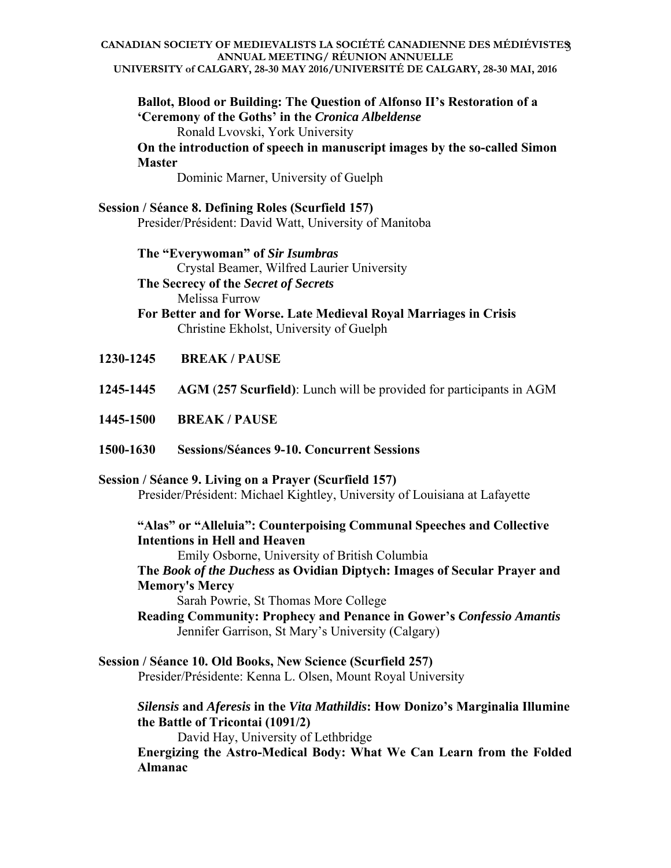#### **CANADIAN SOCIETY OF MEDIEVALISTS LA SOCIÉTÉ CANADIENNE DES MÉDIÉVISTES**  3 **ANNUAL MEETING/ RÉUNION ANNUELLE UNIVERSITY of CALGARY, 28-30 MAY 2016/UNIVERSITÉ DE CALGARY, 28-30 MAI, 2016**

**Ballot, Blood or Building: The Question of Alfonso II's Restoration of a 'Ceremony of the Goths' in the** *Cronica Albeldense*  Ronald Lvovski, York University

**On the introduction of speech in manuscript images by the so-called Simon Master** 

Dominic Marner, University of Guelph

**Session / Séance 8. Defining Roles (Scurfield 157)**  Presider/Président: David Watt, University of Manitoba

> **The "Everywoman" of** *Sir Isumbras*  Crystal Beamer, Wilfred Laurier University **The Secrecy of the** *Secret of Secrets* Melissa Furrow

**For Better and for Worse. Late Medieval Royal Marriages in Crisis**  Christine Ekholst, University of Guelph

- **1230-1245 BREAK / PAUSE**
- **1245-1445 AGM** (**257 Scurfield)**: Lunch will be provided for participants in AGM
- **1445-1500 BREAK / PAUSE**
- **1500-1630 Sessions/Séances 9-10. Concurrent Sessions**

**Session / Séance 9. Living on a Prayer (Scurfield 157)** 

Presider/Président: Michael Kightley, University of Louisiana at Lafayette

## **"Alas" or "Alleluia": Counterpoising Communal Speeches and Collective Intentions in Hell and Heaven**

Emily Osborne, University of British Columbia

**The** *Book of the Duchess* **as Ovidian Diptych: Images of Secular Prayer and Memory's Mercy** 

Sarah Powrie, St Thomas More College

- **Reading Community: Prophecy and Penance in Gower's** *Confessio Amantis*  Jennifer Garrison, St Mary's University (Calgary)
- **Session / Séance 10. Old Books, New Science (Scurfield 257)**  Presider/Présidente: Kenna L. Olsen, Mount Royal University

*Silensis* **and** *Aferesis* **in the** *Vita Mathildis***: How Donizo's Marginalia Illumine the Battle of Tricontai (1091/2)** 

 David Hay, University of Lethbridge **Energizing the Astro-Medical Body: What We Can Learn from the Folded Almanac**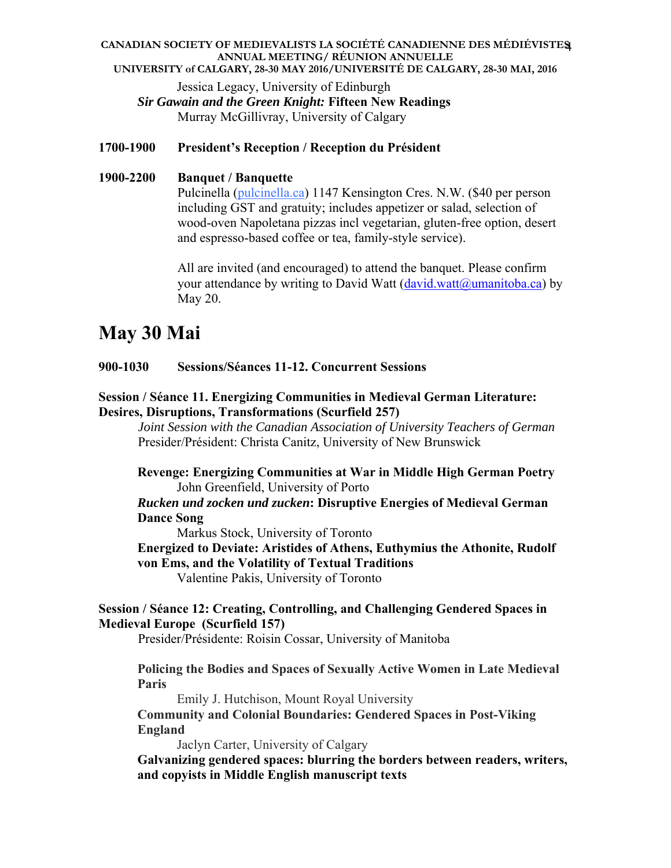#### **CANADIAN SOCIETY OF MEDIEVALISTS LA SOCIÉTÉ CANADIENNE DES MÉDIÉVISTES**  4 **ANNUAL MEETING/ RÉUNION ANNUELLE UNIVERSITY of CALGARY, 28-30 MAY 2016/UNIVERSITÉ DE CALGARY, 28-30 MAI, 2016**

Jessica Legacy, University of Edinburgh *Sir Gawain and the Green Knight:* **Fifteen New Readings**  Murray McGillivray, University of Calgary

#### **1700-1900 President's Reception / Reception du Président**

## **1900-2200 Banquet / Banquette**  Pulcinella (pulcinella.ca) 1147 Kensington Cres. N.W. (\$40 per person including GST and gratuity; includes appetizer or salad, selection of wood-oven Napoletana pizzas incl vegetarian, gluten-free option, desert and espresso-based coffee or tea, family-style service).

All are invited (and encouraged) to attend the banquet. Please confirm your attendance by writing to David Watt  $(davidwatt@umanitoba.ca) by$ May 20.

# **May 30 Mai**

#### **900-1030 Sessions/Séances 11-12. Concurrent Sessions**

#### **Session / Séance 11. Energizing Communities in Medieval German Literature: Desires, Disruptions, Transformations (Scurfield 257)**

*Joint Session with the Canadian Association of University Teachers of German*  Presider/Président: Christa Canitz, University of New Brunswick

**Revenge: Energizing Communities at War in Middle High German Poetry**  John Greenfield, University of Porto

## *Rucken und zocken und zucken***: Disruptive Energies of Medieval German Dance Song**

Markus Stock, University of Toronto

**Energized to Deviate: Aristides of Athens, Euthymius the Athonite, Rudolf von Ems, and the Volatility of Textual Traditions** 

Valentine Pakis, University of Toronto

#### **Session / Séance 12: Creating, Controlling, and Challenging Gendered Spaces in Medieval Europe (Scurfield 157)**

Presider/Présidente: Roisin Cossar, University of Manitoba

**Policing the Bodies and Spaces of Sexually Active Women in Late Medieval Paris** 

Emily J. Hutchison, Mount Royal University **Community and Colonial Boundaries: Gendered Spaces in Post-Viking England** 

Jaclyn Carter, University of Calgary

**Galvanizing gendered spaces: blurring the borders between readers, writers, and copyists in Middle English manuscript texts**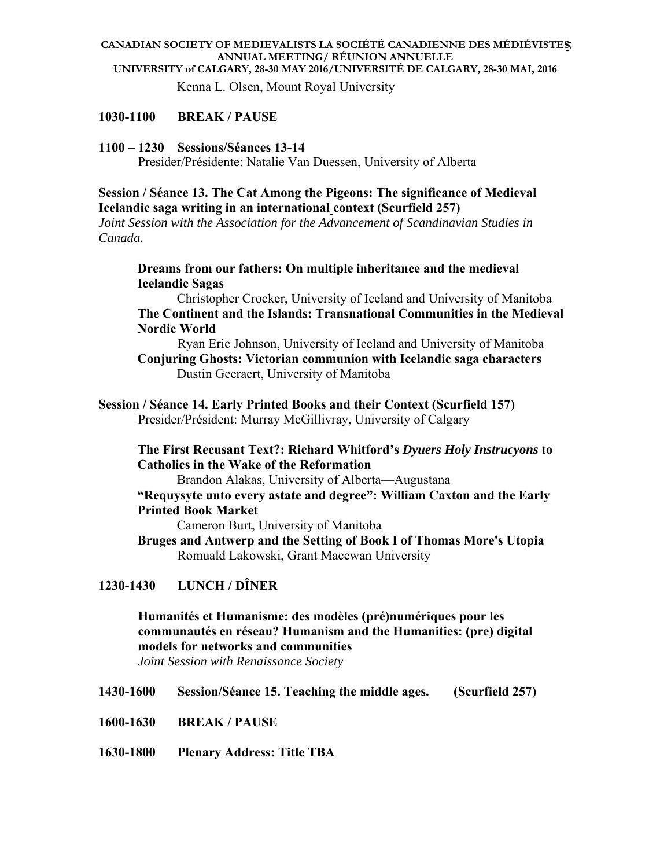#### **CANADIAN SOCIETY OF MEDIEVALISTS LA SOCIÉTÉ CANADIENNE DES MÉDIÉVISTES**  5 **ANNUAL MEETING/ RÉUNION ANNUELLE UNIVERSITY of CALGARY, 28-30 MAY 2016/UNIVERSITÉ DE CALGARY, 28-30 MAI, 2016**

Kenna L. Olsen, Mount Royal University

#### **1030-1100 BREAK / PAUSE**

#### **1100 – 1230 Sessions/Séances 13-14**

Presider/Présidente: Natalie Van Duessen, University of Alberta

#### **Session / Séance 13. The Cat Among the Pigeons: The significance of Medieval Icelandic saga writing in an international context (Scurfield 257)**

*Joint Session with the Association for the Advancement of Scandinavian Studies in Canada.*

#### **Dreams from our fathers: On multiple inheritance and the medieval Icelandic Sagas**

Christopher Crocker, University of Iceland and University of Manitoba **The Continent and the Islands: Transnational Communities in the Medieval Nordic World** 

 Ryan Eric Johnson, University of Iceland and University of Manitoba **Conjuring Ghosts: Victorian communion with Icelandic saga characters**  Dustin Geeraert, University of Manitoba

#### **Session / Séance 14. Early Printed Books and their Context (Scurfield 157)**  Presider/Président: Murray McGillivray, University of Calgary

#### **The First Recusant Text?: Richard Whitford's** *Dyuers Holy Instrucyons* **to Catholics in the Wake of the Reformation**

Brandon Alakas, University of Alberta—Augustana

#### **"Requysyte unto every astate and degree": William Caxton and the Early Printed Book Market**

Cameron Burt, University of Manitoba

**Bruges and Antwerp and the Setting of Book I of Thomas More's Utopia**  Romuald Lakowski, Grant Macewan University

### **1230-1430 LUNCH / DÎNER**

# **Humanités et Humanisme: des modèles (pré)numériques pour les communautés en réseau? Humanism and the Humanities: (pre) digital models for networks and communities**

*Joint Session with Renaissance Society*

- **1430-1600 Session/Séance 15. Teaching the middle ages. (Scurfield 257)**
- **1600-1630 BREAK / PAUSE**
- **1630-1800 Plenary Address: Title TBA**